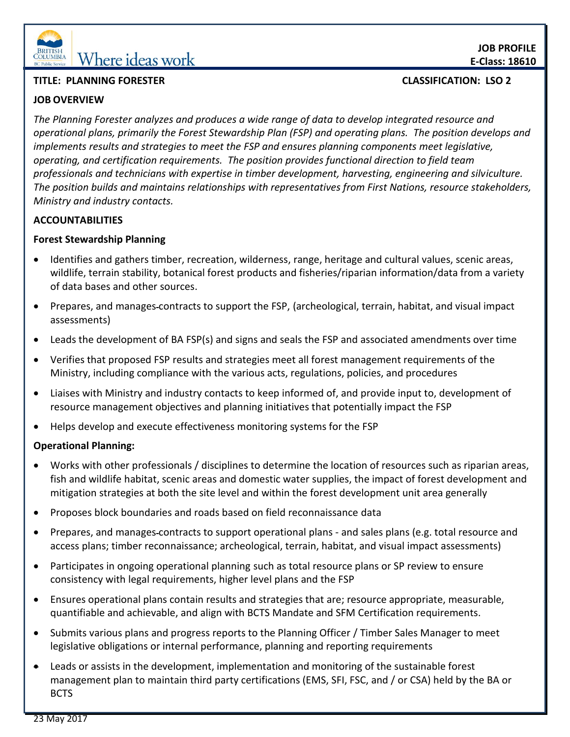

# **EDERITISH** Where ideas work

# **TITLE: PLANNING FORESTER CLASSIFICATION: LSO 2**

# **JOB OVERVIEW**

*The Planning Forester analyzes and produces a wide range of data to develop integrated resource and operational plans, primarily the Forest Stewardship Plan (FSP) and operating plans. The position develops and implements results and strategies to meet the FSP and ensures planning components meet legislative, operating, and certification requirements. The position provides functional direction to field team professionals and technicians with expertise in timber development, harvesting, engineering and silviculture.* 

*The position builds and maintains relationships with representatives from First Nations, resource stakeholders, Ministry and industry contacts.* 

## **ACCOUNTABILITIES**

## **Forest Stewardship Planning**

- Identifies and gathers timber, recreation, wilderness, range, heritage and cultural values, scenic areas, wildlife, terrain stability, botanical forest products and fisheries/riparian information/data from a variety of data bases and other sources.
- Prepares, and manages-contracts to support the FSP, (archeological, terrain, habitat, and visual impact assessments)
- Leads the development of BA FSP(s) and signs and seals the FSP and associated amendments over time
- Verifies that proposed FSP results and strategies meet all forest management requirements of the Ministry, including compliance with the various acts, regulations, policies, and procedures
- Liaises with Ministry and industry contacts to keep informed of, and provide input to, development of resource management objectives and planning initiatives that potentially impact the FSP
- Helps develop and execute effectiveness monitoring systems for the FSP

## **Operational Planning:**

- Works with other professionals / disciplines to determine the location of resources such as riparian areas, fish and wildlife habitat, scenic areas and domestic water supplies, the impact of forest development and mitigation strategies at both the site level and within the forest development unit area generally
- Proposes block boundaries and roads based on field reconnaissance data
- Prepares, and manages contracts to support operational plans and sales plans (e.g. total resource and access plans; timber reconnaissance; archeological, terrain, habitat, and visual impact assessments)
- Participates in ongoing operational planning such as total resource plans or SP review to ensure consistency with legal requirements, higher level plans and the FSP
- Ensures operational plans contain results and strategies that are; resource appropriate, measurable, quantifiable and achievable, and align with BCTS Mandate and SFM Certification requirements.
- Submits various plans and progress reports to the Planning Officer / Timber Sales Manager to meet legislative obligations or internal performance, planning and reporting requirements
- Leads or assists in the development, implementation and monitoring of the sustainable forest management plan to maintain third party certifications (EMS, SFI, FSC, and / or CSA) held by the BA or BCTS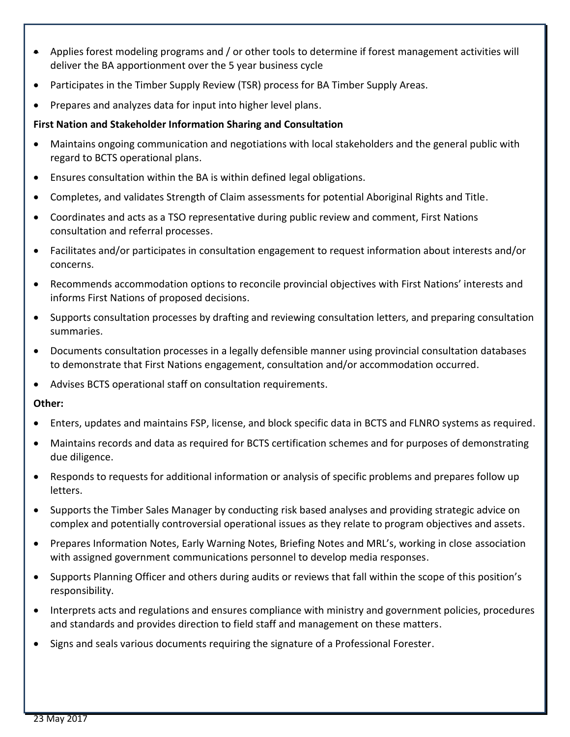- Applies forest modeling programs and / or other tools to determine if forest management activities will deliver the BA apportionment over the 5 year business cycle
- Participates in the Timber Supply Review (TSR) process for BA Timber Supply Areas.
- Prepares and analyzes data for input into higher level plans.

# **First Nation and Stakeholder Information Sharing and Consultation**

- Maintains ongoing communication and negotiations with local stakeholders and the general public with regard to BCTS operational plans.
- Ensures consultation within the BA is within defined legal obligations.
- Completes, and validates Strength of Claim assessments for potential Aboriginal Rights and Title.
- Coordinates and acts as a TSO representative during public review and comment, First Nations consultation and referral processes.
- Facilitates and/or participates in consultation engagement to request information about interests and/or concerns.
- Recommends accommodation options to reconcile provincial objectives with First Nations' interests and informs First Nations of proposed decisions.
- Supports consultation processes by drafting and reviewing consultation letters, and preparing consultation summaries.
- Documents consultation processes in a legally defensible manner using provincial consultation databases to demonstrate that First Nations engagement, consultation and/or accommodation occurred.
- Advises BCTS operational staff on consultation requirements.

## **Other:**

- Enters, updates and maintains FSP, license, and block specific data in BCTS and FLNRO systems as required.
- Maintains records and data as required for BCTS certification schemes and for purposes of demonstrating due diligence.
- Responds to requests for additional information or analysis of specific problems and prepares follow up letters.
- Supports the Timber Sales Manager by conducting risk based analyses and providing strategic advice on complex and potentially controversial operational issues as they relate to program objectives and assets.
- Prepares Information Notes, Early Warning Notes, Briefing Notes and MRL's, working in close association with assigned government communications personnel to develop media responses.
- Supports Planning Officer and others during audits or reviews that fall within the scope of this position's responsibility.
- Interprets acts and regulations and ensures compliance with ministry and government policies, procedures and standards and provides direction to field staff and management on these matters.
- Signs and seals various documents requiring the signature of a Professional Forester.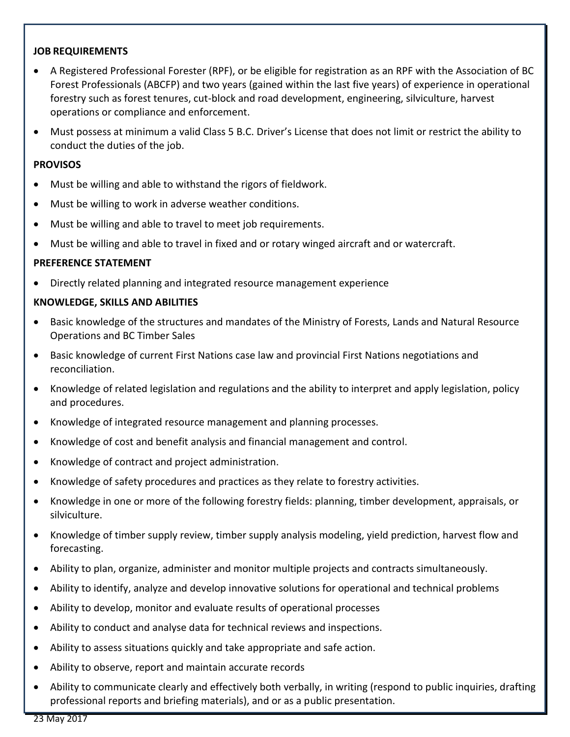#### **JOB REQUIREMENTS**

- A Registered Professional Forester (RPF), or be eligible for registration as an RPF with the Association of BC Forest Professionals (ABCFP) and two years (gained within the last five years) of experience in operational forestry such as forest tenures, cut-block and road development, engineering, silviculture, harvest operations or compliance and enforcement.
- Must possess at minimum a valid Class 5 B.C. Driver's License that does not limit or restrict the ability to conduct the duties of the job.

#### **PROVISOS**

- Must be willing and able to withstand the rigors of fieldwork.
- Must be willing to work in adverse weather conditions.
- Must be willing and able to travel to meet job requirements.
- Must be willing and able to travel in fixed and or rotary winged aircraft and or watercraft.

#### **PREFERENCE STATEMENT**

Directly related planning and integrated resource management experience

#### **KNOWLEDGE, SKILLS AND ABILITIES**

- Basic knowledge of the structures and mandates of the Ministry of Forests, Lands and Natural Resource Operations and BC Timber Sales
- Basic knowledge of current First Nations case law and provincial First Nations negotiations and reconciliation.
- Knowledge of related legislation and regulations and the ability to interpret and apply legislation, policy and procedures.
- Knowledge of integrated resource management and planning processes.
- Knowledge of cost and benefit analysis and financial management and control.
- Knowledge of contract and project administration.
- Knowledge of safety procedures and practices as they relate to forestry activities.
- Knowledge in one or more of the following forestry fields: planning, timber development, appraisals, or silviculture.
- Knowledge of timber supply review, timber supply analysis modeling, yield prediction, harvest flow and forecasting.
- Ability to plan, organize, administer and monitor multiple projects and contracts simultaneously.
- Ability to identify, analyze and develop innovative solutions for operational and technical problems
- Ability to develop, monitor and evaluate results of operational processes
- Ability to conduct and analyse data for technical reviews and inspections.
- Ability to assess situations quickly and take appropriate and safe action.
- Ability to observe, report and maintain accurate records
- Ability to communicate clearly and effectively both verbally, in writing (respond to public inquiries, drafting professional reports and briefing materials), and or as a public presentation.